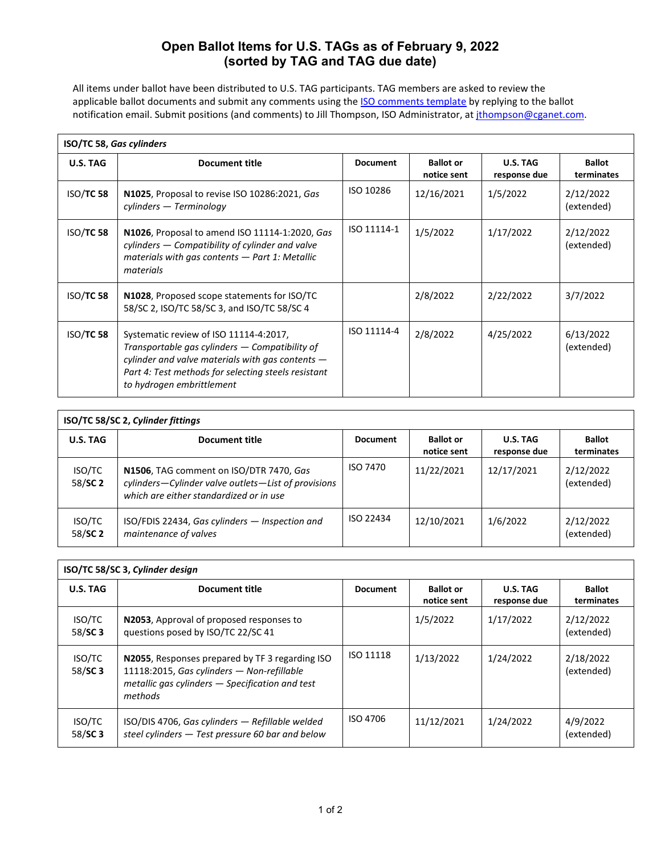## **Open Ballot Items for U.S. TAGs as of February 9, 2022 (sorted by TAG and TAG due date)**

All items under ballot have been distributed to U.S. TAG participants. TAG members are asked to review the applicable ballot documents and submit any comments using the **[ISO comments template](http://isotc.iso.ch/livelink/livelink/818907/Template_for_comments_and_secretariat_observations_(--_Download_with__Fetch_).doc?func=doc.Fetch&nodeid=818907)** by replying to the ballot notification email. Submit positions (and comments) to Jill Thompson, ISO Administrator, at *jthompson@cganet.com.* 

| <b>ISO/TC 58, Gas cylinders</b> |                                                                                                                                                                                                                                    |                 |                                 |                          |                             |  |
|---------------------------------|------------------------------------------------------------------------------------------------------------------------------------------------------------------------------------------------------------------------------------|-----------------|---------------------------------|--------------------------|-----------------------------|--|
| U.S. TAG                        | <b>Document title</b>                                                                                                                                                                                                              | <b>Document</b> | <b>Ballot or</b><br>notice sent | U.S. TAG<br>response due | <b>Ballot</b><br>terminates |  |
| <b>ISO/TC 58</b>                | N1025, Proposal to revise ISO 10286:2021, Gas<br>cylinders — Terminology                                                                                                                                                           | ISO 10286       | 12/16/2021                      | 1/5/2022                 | 2/12/2022<br>(extended)     |  |
| <b>ISO/TC 58</b>                | N1026, Proposal to amend ISO 11114-1:2020, Gas<br>cylinders – Compatibility of cylinder and valve<br>materials with gas contents - Part 1: Metallic<br>materials                                                                   | ISO 11114-1     | 1/5/2022                        | 1/17/2022                | 2/12/2022<br>(extended)     |  |
| <b>ISO/TC 58</b>                | N1028, Proposed scope statements for ISO/TC<br>58/SC 2, ISO/TC 58/SC 3, and ISO/TC 58/SC 4                                                                                                                                         |                 | 2/8/2022                        | 2/22/2022                | 3/7/2022                    |  |
| <b>ISO/TC 58</b>                | Systematic review of ISO 11114-4:2017,<br>Transportable gas cylinders – Compatibility of<br>cylinder and valve materials with gas contents $-$<br>Part 4: Test methods for selecting steels resistant<br>to hydrogen embrittlement | ISO 11114-4     | 2/8/2022                        | 4/25/2022                | 6/13/2022<br>(extended)     |  |

| ISO/TC 58/SC 2, Cylinder fittings |                                                                                                                                           |                 |                                 |                          |                             |  |  |
|-----------------------------------|-------------------------------------------------------------------------------------------------------------------------------------------|-----------------|---------------------------------|--------------------------|-----------------------------|--|--|
| U.S. TAG                          | Document title                                                                                                                            | <b>Document</b> | <b>Ballot</b> or<br>notice sent | U.S. TAG<br>response due | <b>Ballot</b><br>terminates |  |  |
| <b>ISO/TC</b><br>58/SC 2          | N1506, TAG comment on ISO/DTR 7470, Gas<br>cylinders-Cylinder valve outlets-List of provisions<br>which are either standardized or in use | ISO 7470        | 11/22/2021                      | 12/17/2021               | 2/12/2022<br>(extended)     |  |  |
| <b>ISO/TC</b><br>58/SC 2          | ISO/FDIS 22434, Gas cylinders - Inspection and<br>maintenance of valves                                                                   | ISO 22434       | 12/10/2021                      | 1/6/2022                 | 2/12/2022<br>(extended)     |  |  |

| ISO/TC 58/SC 3, Cylinder design |                                                                                                                                                             |                 |                                 |                          |                             |  |
|---------------------------------|-------------------------------------------------------------------------------------------------------------------------------------------------------------|-----------------|---------------------------------|--------------------------|-----------------------------|--|
| U.S. TAG                        | Document title                                                                                                                                              | <b>Document</b> | <b>Ballot or</b><br>notice sent | U.S. TAG<br>response due | <b>Ballot</b><br>terminates |  |
| ISO/TC<br>58/SC 3               | N2053, Approval of proposed responses to<br>questions posed by ISO/TC 22/SC 41                                                                              |                 | 1/5/2022                        | 1/17/2022                | 2/12/2022<br>(extended)     |  |
| ISO/TC<br>58/SC3                | N2055, Responses prepared by TF 3 regarding ISO<br>11118:2015, Gas cylinders - Non-refillable<br>metallic gas cylinders – Specification and test<br>methods | ISO 11118       | 1/13/2022                       | 1/24/2022                | 2/18/2022<br>(extended)     |  |
| ISO/TC<br>58/SC 3               | $ISO/DIS$ 4706, Gas cylinders $-$ Refillable welded<br>steel cylinders - Test pressure 60 bar and below                                                     | ISO 4706        | 11/12/2021                      | 1/24/2022                | 4/9/2022<br>(extended)      |  |